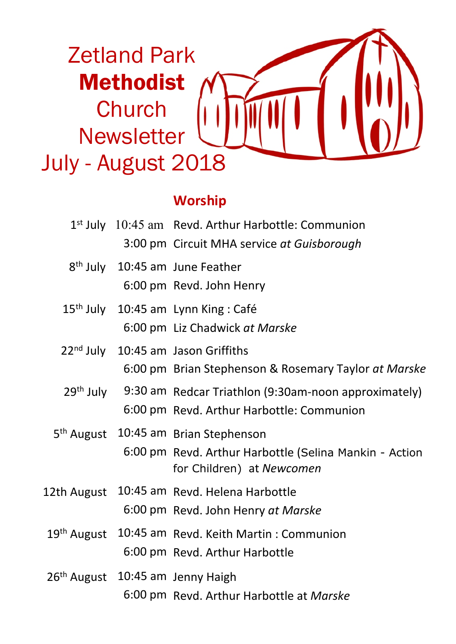

### **Worship**

|                                                |  | $1st$ July $10:45$ am Revd. Arthur Harbottle: Communion                             |  |
|------------------------------------------------|--|-------------------------------------------------------------------------------------|--|
|                                                |  | 3:00 pm Circuit MHA service at Guisborough                                          |  |
|                                                |  | 8 <sup>th</sup> July 10:45 am June Feather                                          |  |
|                                                |  | 6:00 pm Revd. John Henry                                                            |  |
|                                                |  | 15 <sup>th</sup> July 10:45 am Lynn King: Café                                      |  |
|                                                |  | 6:00 pm Liz Chadwick at Marske                                                      |  |
| 22 <sup>nd</sup> July 10:45 am Jason Griffiths |  |                                                                                     |  |
|                                                |  | 6:00 pm Brian Stephenson & Rosemary Taylor at Marske                                |  |
|                                                |  | 29 <sup>th</sup> July 9:30 am Redcar Triathlon (9:30am-noon approximately)          |  |
|                                                |  | 6:00 pm Revd. Arthur Harbottle: Communion                                           |  |
|                                                |  | 5 <sup>th</sup> August 10:45 am Brian Stephenson                                    |  |
|                                                |  | 6:00 pm Revd. Arthur Harbottle (Selina Mankin - Action<br>for Children) at Newcomen |  |
| 12th August                                    |  | 10:45 am Revd. Helena Harbottle                                                     |  |
|                                                |  | 6:00 pm Revd. John Henry at Marske                                                  |  |
|                                                |  | 19 <sup>th</sup> August 10:45 am Revd. Keith Martin: Communion                      |  |
|                                                |  | 6:00 pm Revd. Arthur Harbottle                                                      |  |
|                                                |  | 26 <sup>th</sup> August 10:45 am Jenny Haigh                                        |  |
|                                                |  | 6:00 pm Revd. Arthur Harbottle at Marske                                            |  |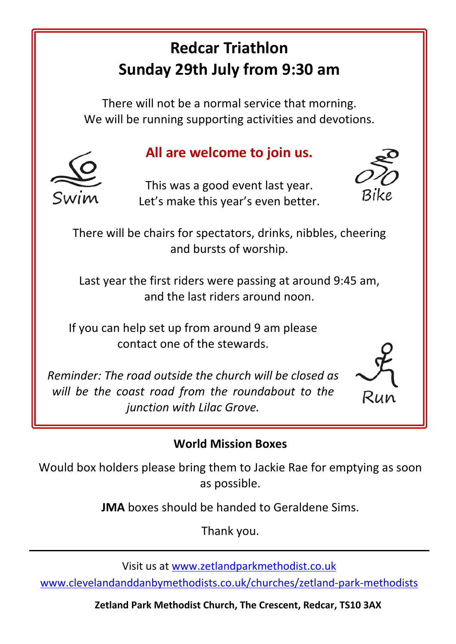# **Redcar Triathlon Sunday 29th July from 9:30 am**

There will not be a normal service that morning. We will be running supporting activities and devotions.

# **All are welcome to join us.**

This was a good event last year. Let's make this year's even better.



There will be chairs for spectators, drinks, nibbles, cheering and bursts of worship.

Last year the first riders were passing at around 9:45 am, and the last riders around noon.

If you can help set up from around 9 am please contact one of the stewards.

*Reminder: The road outside the church will be closed as will be the coast road from the roundabout to the junction with Lilac Grove.*

# Run

#### **World Mission Boxes**

Would box holders please bring them to Jackie Rae for emptying as soon as possible.

**JMA** boxes should be handed to Geraldene Sims.

Thank you.

Visit us at www.zetlandparkmethodist.co.uk

www.clevelandanddanbymethodists.co.uk/churches/zetland-park-methodists

**Zetland Park Methodist Church, The Crescent, Redcar, TS10 3AX**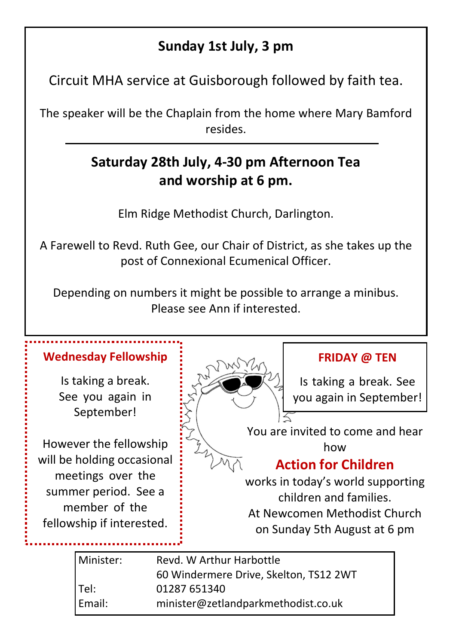## **Sunday 1st July, 3 pm**

Circuit MHA service at Guisborough followed by faith tea.

The speaker will be the Chaplain from the home where Mary Bamford resides.

# **Saturday 28th July, 4-30 pm Afternoon Tea and worship at 6 pm.**

Elm Ridge Methodist Church, Darlington.

A Farewell to Revd. Ruth Gee, our Chair of District, as she takes up the post of Connexional Ecumenical Officer.

Depending on numbers it might be possible to arrange a minibus. Please see Ann if interested.

#### **Wednesday Fellowship**

Is taking a break. See you again in September!

However the fellowship will be holding occasional meetings over the summer period. See a member of the fellowship if interested.



#### **FRIDAY @ TEN**

Is taking a break. See you again in September!

You are invited to come and hear how

## **Action for Children**

works in today's world supporting children and families. At Newcomen Methodist Church on Sunday 5th August at 6 pm

| l Minister: | Revd. W Arthur Harbottle               |  |
|-------------|----------------------------------------|--|
|             | 60 Windermere Drive. Skelton. TS12 2WT |  |
| Tel:        | 01287 651340                           |  |
| Email:      | minister@zetlandparkmethodist.co.uk    |  |